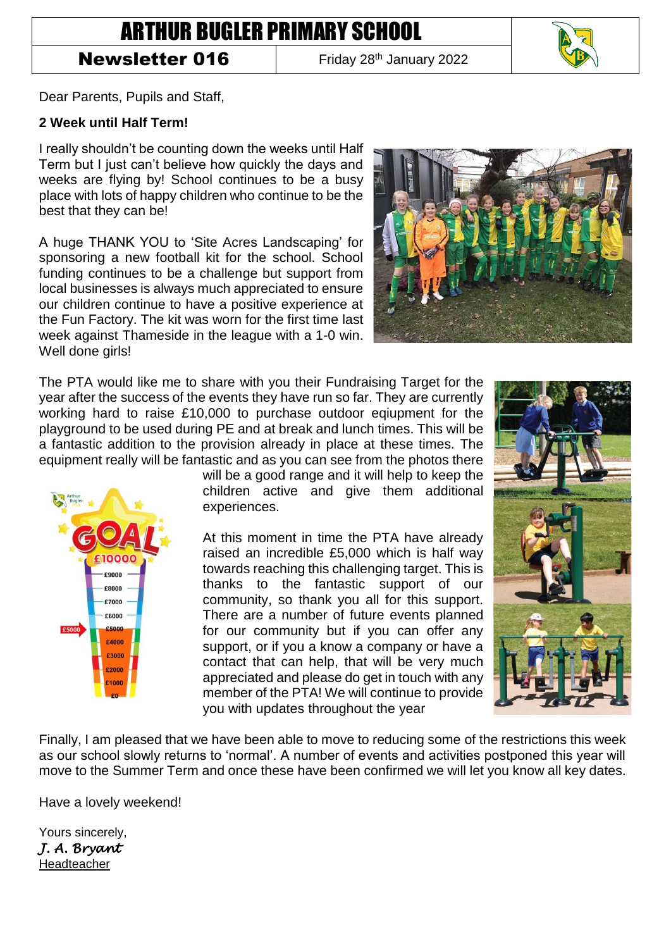# ARTHUR BUGLER PRIMARY SCHOOL

## **Newsletter 016** Friday  $28<sup>th</sup>$  January 2022



Dear Parents, Pupils and Staff,

#### **2 Week until Half Term!**

I really shouldn't be counting down the weeks until Half Term but I just can't believe how quickly the days and weeks are flying by! School continues to be a busy place with lots of happy children who continue to be the best that they can be!

A huge THANK YOU to 'Site Acres Landscaping' for sponsoring a new football kit for the school. School funding continues to be a challenge but support from local businesses is always much appreciated to ensure our children continue to have a positive experience at the Fun Factory. The kit was worn for the first time last week against Thameside in the league with a 1-0 win. Well done girls!



1000 £9000 £8000 £7000 £6000 £5000 £4000 £3000 **£2000**  $21000$ 

will be a good range and it will help to keep the children active and give them additional experiences.

At this moment in time the PTA have already raised an incredible £5,000 which is half way towards reaching this challenging target. This is thanks to the fantastic support of our community, so thank you all for this support. There are a number of future events planned for our community but if you can offer any support, or if you a know a company or have a contact that can help, that will be very much appreciated and please do get in touch with any member of the PTA! We will continue to provide you with updates throughout the year



Finally, I am pleased that we have been able to move to reducing some of the restrictions this week as our school slowly returns to 'normal'. A number of events and activities postponed this year will move to the Summer Term and once these have been confirmed we will let you know all key dates.

Have a lovely weekend!

Yours sincerely, *J. A. Bryant*  **Headteacher**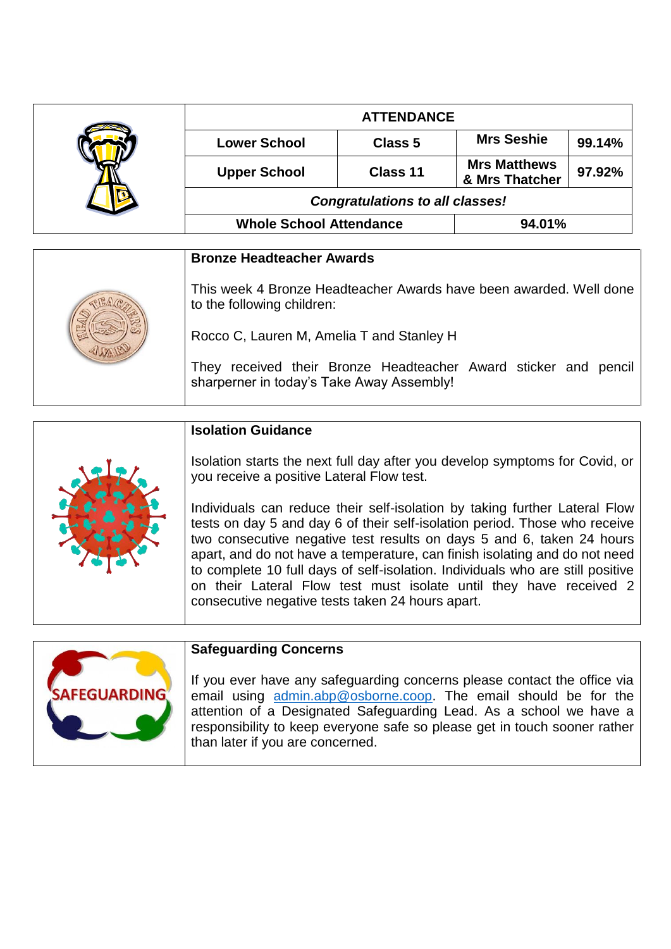|  | <b>ATTENDANCE</b>                      |                |                                       |        |
|--|----------------------------------------|----------------|---------------------------------------|--------|
|  | <b>Lower School</b>                    | <b>Class 5</b> | <b>Mrs Seshie</b>                     | 99.14% |
|  | <b>Upper School</b>                    | Class 11       | <b>Mrs Matthews</b><br>& Mrs Thatcher | 97.92% |
|  | <b>Congratulations to all classes!</b> |                |                                       |        |
|  | <b>Whole School Attendance</b>         |                | 94.01%                                |        |

|  | <b>Bronze Headteacher Awards</b>                                                                                |
|--|-----------------------------------------------------------------------------------------------------------------|
|  | This week 4 Bronze Headteacher Awards have been awarded. Well done<br>to the following children:                |
|  | Rocco C, Lauren M, Amelia T and Stanley H                                                                       |
|  | received their Bronze Headteacher Award sticker and pencil<br>Thev<br>sharperner in today's Take Away Assembly! |

|  | <b>Isolation Guidance</b>                                                                                                                                                                                                                                                                                                                                                                                                                                                                                                   |
|--|-----------------------------------------------------------------------------------------------------------------------------------------------------------------------------------------------------------------------------------------------------------------------------------------------------------------------------------------------------------------------------------------------------------------------------------------------------------------------------------------------------------------------------|
|  | Isolation starts the next full day after you develop symptoms for Covid, or<br>you receive a positive Lateral Flow test.                                                                                                                                                                                                                                                                                                                                                                                                    |
|  | Individuals can reduce their self-isolation by taking further Lateral Flow<br>tests on day 5 and day 6 of their self-isolation period. Those who receive<br>two consecutive negative test results on days 5 and 6, taken 24 hours<br>apart, and do not have a temperature, can finish isolating and do not need<br>to complete 10 full days of self-isolation. Individuals who are still positive<br>on their Lateral Flow test must isolate until they have received 2<br>consecutive negative tests taken 24 hours apart. |



### **Safeguarding Concerns**

If you ever have any safeguarding concerns please contact the office via email using [admin.abp@osborne.coop.](mailto:admin.abp@osborne.coop) The email should be for the attention of a Designated Safeguarding Lead. As a school we have a responsibility to keep everyone safe so please get in touch sooner rather than later if you are concerned.